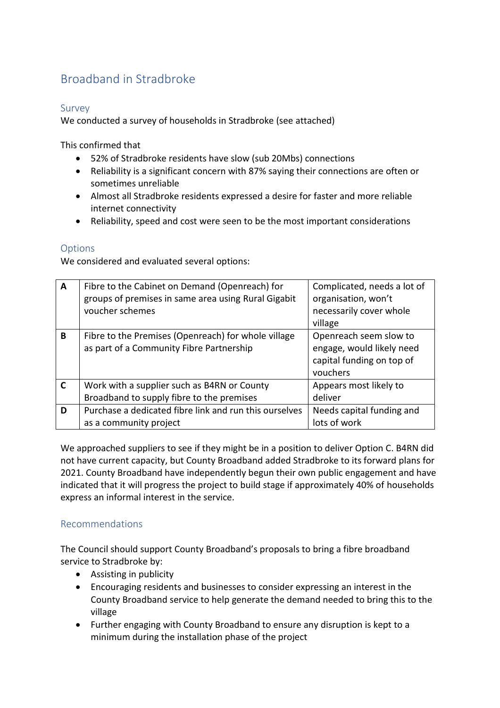## Broadband in Stradbroke

## Survey

We conducted a survey of households in Stradbroke (see attached)

This confirmed that

- 52% of Stradbroke residents have slow (sub 20Mbs) connections
- Reliability is a significant concern with 87% saying their connections are often or sometimes unreliable
- Almost all Stradbroke residents expressed a desire for faster and more reliable internet connectivity
- Reliability, speed and cost were seen to be the most important considerations

## **Options**

We considered and evaluated several options:

| $\overline{A}$ | Fibre to the Cabinet on Demand (Openreach) for<br>groups of premises in same area using Rural Gigabit<br>voucher schemes | Complicated, needs a lot of<br>organisation, won't<br>necessarily cover whole<br>village     |
|----------------|--------------------------------------------------------------------------------------------------------------------------|----------------------------------------------------------------------------------------------|
| B              | Fibre to the Premises (Openreach) for whole village<br>as part of a Community Fibre Partnership                          | Openreach seem slow to<br>engage, would likely need<br>capital funding on top of<br>vouchers |
| $\mathbf C$    | Work with a supplier such as B4RN or County                                                                              | Appears most likely to<br>deliver                                                            |
|                | Broadband to supply fibre to the premises                                                                                |                                                                                              |
| D              | Purchase a dedicated fibre link and run this ourselves                                                                   | Needs capital funding and                                                                    |
|                | as a community project                                                                                                   | lots of work                                                                                 |

We approached suppliers to see if they might be in a position to deliver Option C. B4RN did not have current capacity, but County Broadband added Stradbroke to its forward plans for 2021. County Broadband have independently begun their own public engagement and have indicated that it will progress the project to build stage if approximately 40% of households express an informal interest in the service.

## Recommendations

The Council should support County Broadband's proposals to bring a fibre broadband service to Stradbroke by:

- Assisting in publicity
- Encouraging residents and businesses to consider expressing an interest in the County Broadband service to help generate the demand needed to bring this to the village
- Further engaging with County Broadband to ensure any disruption is kept to a minimum during the installation phase of the project